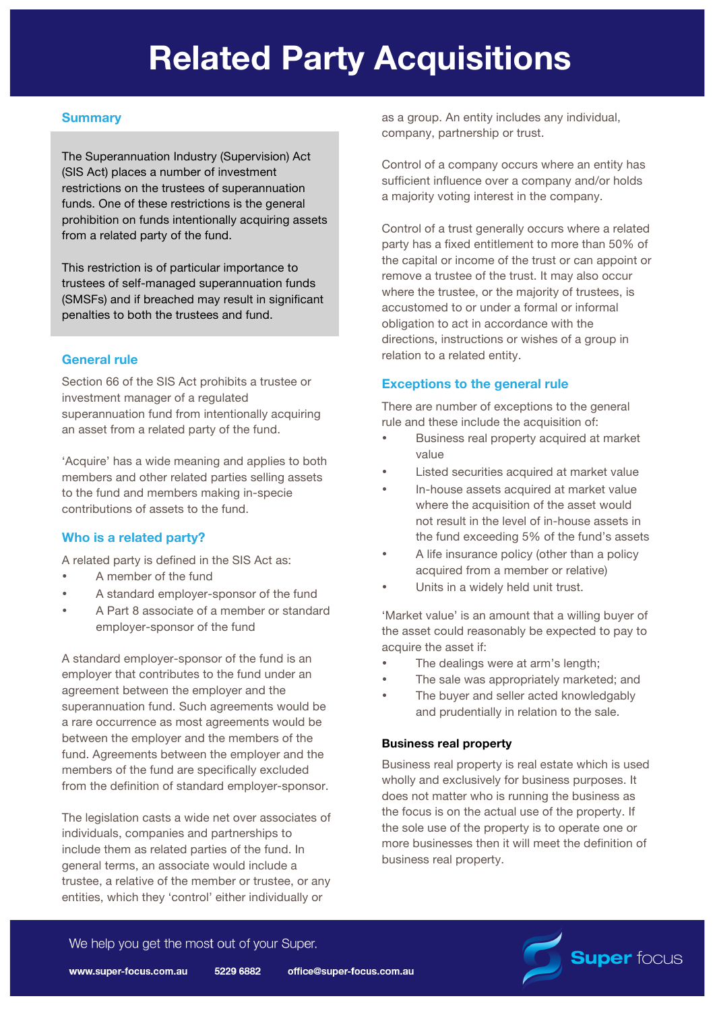# **Related Party Acquisitions**

# **Summary**

The Superannuation Industry (Supervision) Act (SIS Act) places a number of investment restrictions on the trustees of superannuation funds. One of these restrictions is the general prohibition on funds intentionally acquiring assets from a related party of the fund.

This restriction is of particular importance to trustees of self-managed superannuation funds (SMSFs) and if breached may result in significant penalties to both the trustees and fund.

# **General rule**

Section 66 of the SIS Act prohibits a trustee or investment manager of a regulated superannuation fund from intentionally acquiring an asset from a related party of the fund.

'Acquire' has a wide meaning and applies to both members and other related parties selling assets to the fund and members making in-specie contributions of assets to the fund.

# **Who is a related party?**

A related party is defined in the SIS Act as:

- A member of the fund
- A standard employer-sponsor of the fund
- A Part 8 associate of a member or standard employer-sponsor of the fund

A standard employer-sponsor of the fund is an employer that contributes to the fund under an agreement between the employer and the superannuation fund. Such agreements would be a rare occurrence as most agreements would be between the employer and the members of the fund. Agreements between the employer and the members of the fund are specifically excluded from the definition of standard employer-sponsor.

The legislation casts a wide net over associates of individuals, companies and partnerships to include them as related parties of the fund. In general terms, an associate would include a trustee, a relative of the member or trustee, or any entities, which they 'control' either individually or

as a group. An entity includes any individual, company, partnership or trust.

Control of a company occurs where an entity has sufficient influence over a company and/or holds a majority voting interest in the company.

Control of a trust generally occurs where a related party has a fixed entitlement to more than 50% of the capital or income of the trust or can appoint or remove a trustee of the trust. It may also occur where the trustee, or the majority of trustees, is accustomed to or under a formal or informal obligation to act in accordance with the directions, instructions or wishes of a group in relation to a related entity.

# **Exceptions to the general rule**

There are number of exceptions to the general rule and these include the acquisition of:

- Business real property acquired at market value
- Listed securities acquired at market value
- In-house assets acquired at market value where the acquisition of the asset would not result in the level of in-house assets in the fund exceeding 5% of the fund's assets
- A life insurance policy (other than a policy acquired from a member or relative)
- Units in a widely held unit trust.

'Market value' is an amount that a willing buyer of the asset could reasonably be expected to pay to acquire the asset if:

- The dealings were at arm's length;
- The sale was appropriately marketed; and
- The buyer and seller acted knowledgably and prudentially in relation to the sale.

## **Business real property**

Business real property is real estate which is used wholly and exclusively for business purposes. It does not matter who is running the business as the focus is on the actual use of the property. If the sole use of the property is to operate one or more businesses then it will meet the definition of business real property.



We help you get the most out of your Super.